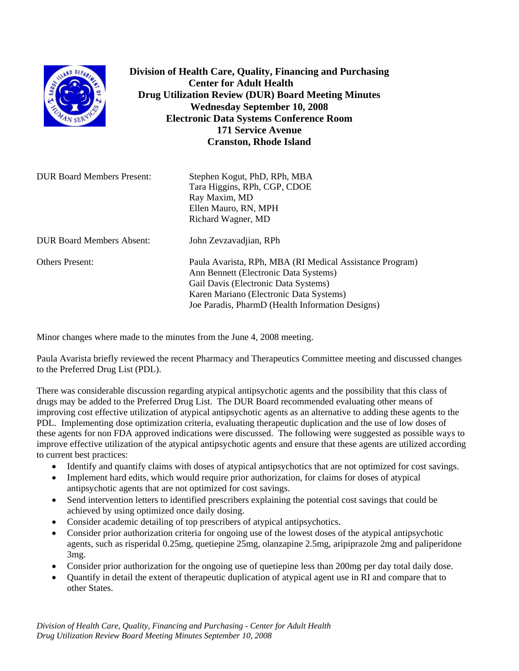| Division of Health Care, Quality, Financing and Purchasing<br>SLAND DEPAR<br><b>Center for Adult Health</b><br><b>RHOOF</b><br><b>Drug Utilization Review (DUR) Board Meeting Minutes</b><br><b>Wednesday September 10, 2008</b><br><b>Electronic Data Systems Conference Room</b><br><b>171 Service Avenue</b><br><b>Cranston, Rhode Island</b> |                                                                                                                                                                                                                                          |
|--------------------------------------------------------------------------------------------------------------------------------------------------------------------------------------------------------------------------------------------------------------------------------------------------------------------------------------------------|------------------------------------------------------------------------------------------------------------------------------------------------------------------------------------------------------------------------------------------|
| <b>DUR Board Members Present:</b>                                                                                                                                                                                                                                                                                                                | Stephen Kogut, PhD, RPh, MBA<br>Tara Higgins, RPh, CGP, CDOE<br>Ray Maxim, MD<br>Ellen Mauro, RN, MPH<br>Richard Wagner, MD                                                                                                              |
| <b>DUR Board Members Absent:</b>                                                                                                                                                                                                                                                                                                                 | John Zevzavadjian, RPh                                                                                                                                                                                                                   |
| <b>Others Present:</b>                                                                                                                                                                                                                                                                                                                           | Paula Avarista, RPh, MBA (RI Medical Assistance Program)<br>Ann Bennett (Electronic Data Systems)<br>Gail Davis (Electronic Data Systems)<br>Karen Mariano (Electronic Data Systems)<br>Joe Paradis, PharmD (Health Information Designs) |

Minor changes where made to the minutes from the June 4, 2008 meeting.

Paula Avarista briefly reviewed the recent Pharmacy and Therapeutics Committee meeting and discussed changes to the Preferred Drug List (PDL).

There was considerable discussion regarding atypical antipsychotic agents and the possibility that this class of drugs may be added to the Preferred Drug List. The DUR Board recommended evaluating other means of improving cost effective utilization of atypical antipsychotic agents as an alternative to adding these agents to the PDL. Implementing dose optimization criteria, evaluating therapeutic duplication and the use of low doses of these agents for non FDA approved indications were discussed. The following were suggested as possible ways to improve effective utilization of the atypical antipsychotic agents and ensure that these agents are utilized according to current best practices:

- Identify and quantify claims with doses of atypical antipsychotics that are not optimized for cost savings.
- Implement hard edits, which would require prior authorization, for claims for doses of atypical antipsychotic agents that are not optimized for cost savings.
- Send intervention letters to identified prescribers explaining the potential cost savings that could be achieved by using optimized once daily dosing.
- Consider academic detailing of top prescribers of atypical antipsychotics.
- Consider prior authorization criteria for ongoing use of the lowest doses of the atypical antipsychotic agents, such as risperidal 0.25mg, quetiepine 25mg, olanzapine 2.5mg, aripiprazole 2mg and paliperidone 3mg.
- Consider prior authorization for the ongoing use of quetiepine less than 200mg per day total daily dose.
- Quantify in detail the extent of therapeutic duplication of atypical agent use in RI and compare that to other States.